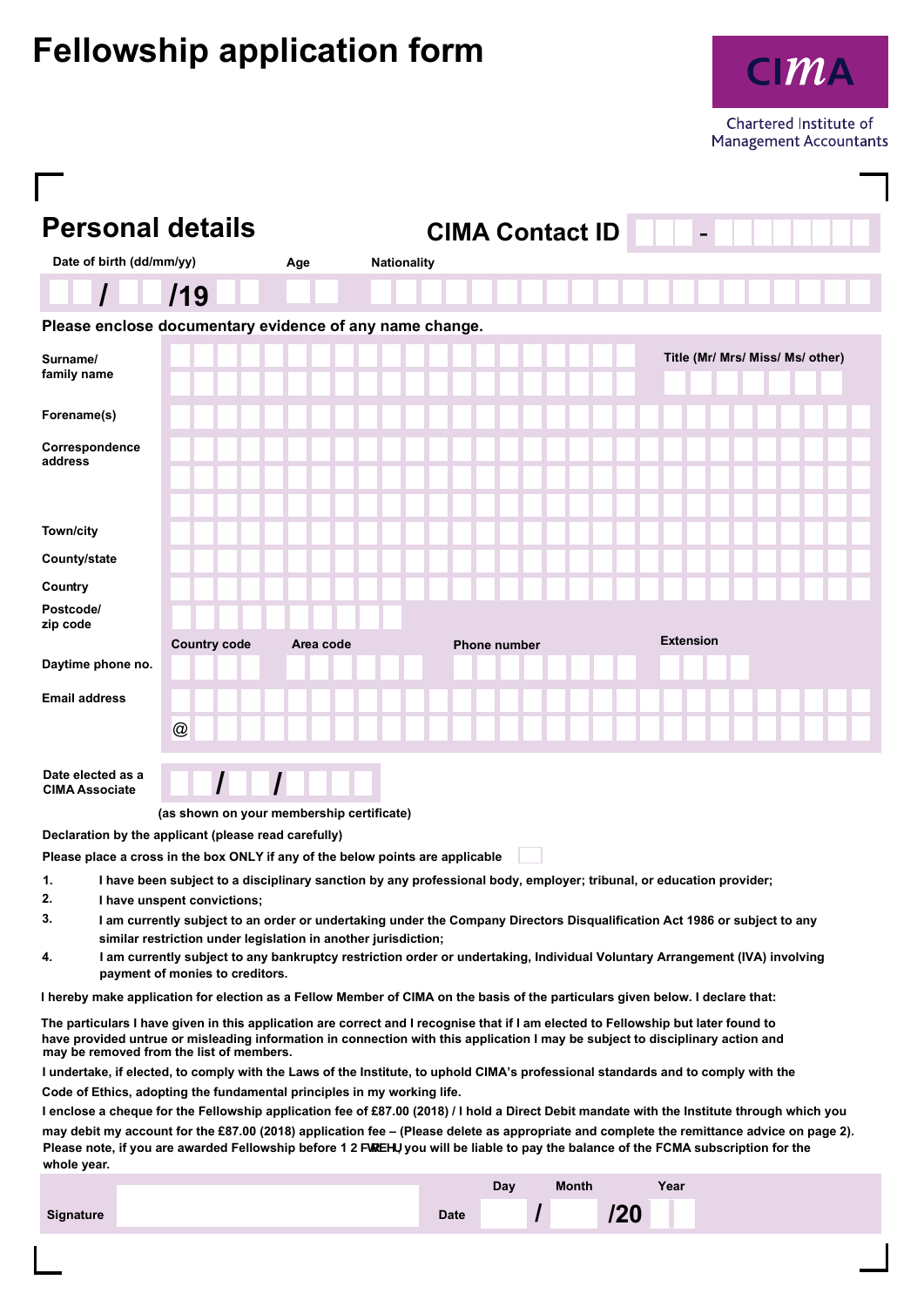## **Fellowship application form**



Chartered Institute of **Management Accountants** 

| <b>Personal details</b><br><b>CIMA Contact ID</b>                                                                                                                                                                                                                                                                |                     |                    |           |                                           |  |                     |  |  |                                                                                                                     |                                                                                                                                           |  |
|------------------------------------------------------------------------------------------------------------------------------------------------------------------------------------------------------------------------------------------------------------------------------------------------------------------|---------------------|--------------------|-----------|-------------------------------------------|--|---------------------|--|--|---------------------------------------------------------------------------------------------------------------------|-------------------------------------------------------------------------------------------------------------------------------------------|--|
| Date of birth (dd/mm/yy)                                                                                                                                                                                                                                                                                         | Age                 | <b>Nationality</b> |           |                                           |  |                     |  |  |                                                                                                                     |                                                                                                                                           |  |
|                                                                                                                                                                                                                                                                                                                  | /19                 |                    |           |                                           |  |                     |  |  |                                                                                                                     |                                                                                                                                           |  |
| Please enclose documentary evidence of any name change.                                                                                                                                                                                                                                                          |                     |                    |           |                                           |  |                     |  |  |                                                                                                                     |                                                                                                                                           |  |
| Surname/<br>family name                                                                                                                                                                                                                                                                                          |                     |                    |           |                                           |  |                     |  |  |                                                                                                                     | Title (Mr/ Mrs/ Miss/ Ms/ other)                                                                                                          |  |
| Forename(s)                                                                                                                                                                                                                                                                                                      |                     |                    |           |                                           |  |                     |  |  |                                                                                                                     |                                                                                                                                           |  |
| Correspondence<br>address                                                                                                                                                                                                                                                                                        |                     |                    |           |                                           |  |                     |  |  |                                                                                                                     |                                                                                                                                           |  |
| Town/city                                                                                                                                                                                                                                                                                                        |                     |                    |           |                                           |  |                     |  |  |                                                                                                                     |                                                                                                                                           |  |
| County/state                                                                                                                                                                                                                                                                                                     |                     |                    |           |                                           |  |                     |  |  |                                                                                                                     |                                                                                                                                           |  |
| Country                                                                                                                                                                                                                                                                                                          |                     |                    |           |                                           |  |                     |  |  |                                                                                                                     |                                                                                                                                           |  |
| Postcode/<br>zip code                                                                                                                                                                                                                                                                                            |                     |                    |           |                                           |  |                     |  |  |                                                                                                                     |                                                                                                                                           |  |
| Daytime phone no.                                                                                                                                                                                                                                                                                                | <b>Country code</b> |                    | Area code |                                           |  | <b>Phone number</b> |  |  | <b>Extension</b>                                                                                                    |                                                                                                                                           |  |
| <b>Email address</b>                                                                                                                                                                                                                                                                                             |                     |                    |           |                                           |  |                     |  |  |                                                                                                                     |                                                                                                                                           |  |
|                                                                                                                                                                                                                                                                                                                  | @                   |                    |           |                                           |  |                     |  |  |                                                                                                                     |                                                                                                                                           |  |
|                                                                                                                                                                                                                                                                                                                  |                     |                    |           |                                           |  |                     |  |  |                                                                                                                     |                                                                                                                                           |  |
| Date elected as a<br><b>CIMA Associate</b>                                                                                                                                                                                                                                                                       |                     |                    |           |                                           |  |                     |  |  |                                                                                                                     |                                                                                                                                           |  |
|                                                                                                                                                                                                                                                                                                                  |                     |                    |           | (as shown on your membership certificate) |  |                     |  |  |                                                                                                                     |                                                                                                                                           |  |
| Declaration by the applicant (please read carefully)                                                                                                                                                                                                                                                             |                     |                    |           |                                           |  |                     |  |  |                                                                                                                     |                                                                                                                                           |  |
| Please place a cross in the box ONLY if any of the below points are applicable                                                                                                                                                                                                                                   |                     |                    |           |                                           |  |                     |  |  | I have been subject to a disciplinary sanction by any professional body, employer; tribunal, or education provider; |                                                                                                                                           |  |
| 1.<br>2.<br>I have unspent convictions;                                                                                                                                                                                                                                                                          |                     |                    |           |                                           |  |                     |  |  |                                                                                                                     |                                                                                                                                           |  |
| 3.                                                                                                                                                                                                                                                                                                               |                     |                    |           |                                           |  |                     |  |  |                                                                                                                     | I am currently subject to an order or undertaking under the Company Directors Disqualification Act 1986 or subject to any                 |  |
| similar restriction under legislation in another jurisdiction;<br>I am currently subject to any bankruptcy restriction order or undertaking, Individual Voluntary Arrangement (IVA) involving<br>4.                                                                                                              |                     |                    |           |                                           |  |                     |  |  |                                                                                                                     |                                                                                                                                           |  |
| payment of monies to creditors.                                                                                                                                                                                                                                                                                  |                     |                    |           |                                           |  |                     |  |  |                                                                                                                     |                                                                                                                                           |  |
| I hereby make application for election as a Fellow Member of CIMA on the basis of the particulars given below. I declare that:                                                                                                                                                                                   |                     |                    |           |                                           |  |                     |  |  |                                                                                                                     |                                                                                                                                           |  |
| The particulars I have given in this application are correct and I recognise that if I am elected to Fellowship but later found to<br>have provided untrue or misleading information in connection with this application I may be subject to disciplinary action and<br>may be removed from the list of members. |                     |                    |           |                                           |  |                     |  |  |                                                                                                                     |                                                                                                                                           |  |
| I undertake, if elected, to comply with the Laws of the Institute, to uphold CIMA's professional standards and to comply with the                                                                                                                                                                                |                     |                    |           |                                           |  |                     |  |  |                                                                                                                     |                                                                                                                                           |  |
| Code of Ethics, adopting the fundamental principles in my working life.                                                                                                                                                                                                                                          |                     |                    |           |                                           |  |                     |  |  |                                                                                                                     |                                                                                                                                           |  |
| I enclose a cheque for the Fellowship application fee of £87.00 (2018) / I hold a Direct Debit mandate with the Institute through which you                                                                                                                                                                      |                     |                    |           |                                           |  |                     |  |  |                                                                                                                     | may debit my account for the £87.00 (2018) application fee - (Please delete as appropriate and complete the remittance advice on page 2). |  |

Please note, if you are awarded Fellowship before 1 CWcVYf, you will be liable to pay the balance of the FCMA subscription for the

**whole year.**

|           |             | Dav | <b>Month</b> |     | Year |  |
|-----------|-------------|-----|--------------|-----|------|--|
| Signature | <b>Date</b> |     |              | /20 |      |  |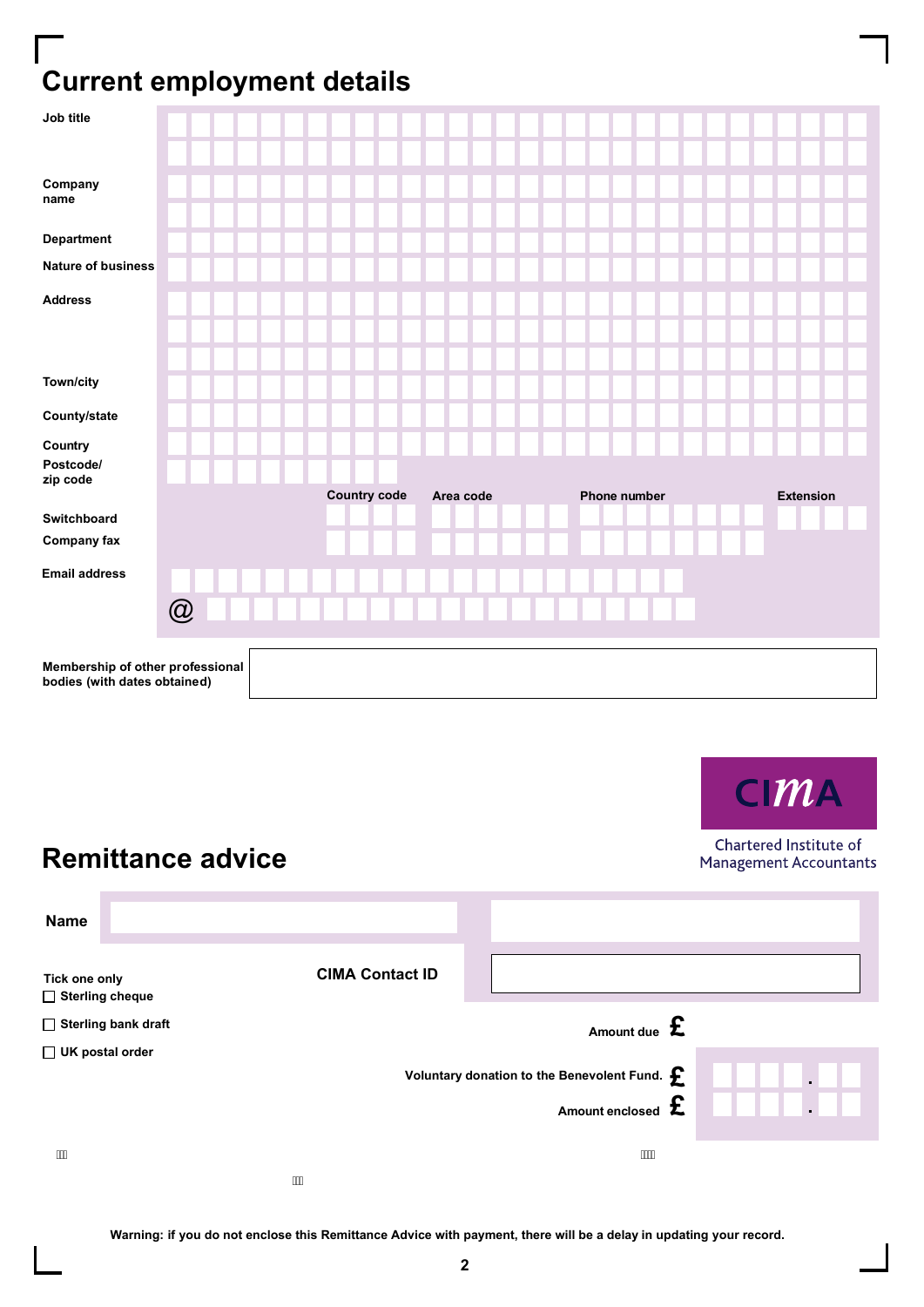## **Current employment details**

| Job title                                                        |   |  |                     |           |              |  |                  |
|------------------------------------------------------------------|---|--|---------------------|-----------|--------------|--|------------------|
| Company<br>name                                                  |   |  |                     |           |              |  |                  |
| <b>Department</b>                                                |   |  |                     |           |              |  |                  |
| <b>Nature of business</b>                                        |   |  |                     |           |              |  |                  |
| <b>Address</b>                                                   |   |  |                     |           |              |  |                  |
|                                                                  |   |  |                     |           |              |  |                  |
| Town/city                                                        |   |  |                     |           |              |  |                  |
| County/state                                                     |   |  |                     |           |              |  |                  |
| Country                                                          |   |  |                     |           |              |  |                  |
| Postcode/<br>zip code                                            |   |  |                     |           |              |  |                  |
|                                                                  |   |  | <b>Country code</b> | Area code | Phone number |  | <b>Extension</b> |
| Switchboard                                                      |   |  |                     |           |              |  |                  |
| <b>Company fax</b>                                               |   |  |                     |           |              |  |                  |
| <b>Email address</b>                                             |   |  |                     |           |              |  |                  |
|                                                                  | @ |  |                     |           |              |  |                  |
| Membership of other professional<br>bodies (with dates obtained) |   |  |                     |           |              |  |                  |

**Remittance advice**

n.

**CIMA** 

Chartered Institute of **Management Accountants** 

| <b>Name</b>                             |                     |                        |                                                                      |  |
|-----------------------------------------|---------------------|------------------------|----------------------------------------------------------------------|--|
| Tick one only<br>$\Box$ Sterling cheque |                     | <b>CIMA Contact ID</b> |                                                                      |  |
|                                         | Sterling bank draft |                        | Amount due $\mathbf{\pounds}$                                        |  |
| $\Box$ UK postal order                  |                     |                        | Voluntary donation to the Benevolent Fund. $\boldsymbol{\mathsf{f}}$ |  |
|                                         |                     |                        | Amount enclosed $\, {\bf E} \,$                                      |  |
| $\cdots$                                |                     |                        |                                                                      |  |

**Warning: if you do not enclose this Remittance Advice with payment, there will be a delay in updating your record.**

 $\cdots$